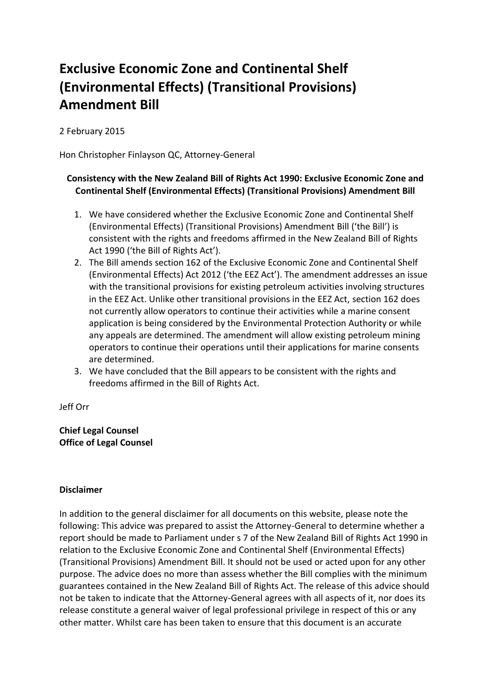## **Exclusive Economic Zone and Continental Shelf (Environmental Effects) (Transitional Provisions) Amendment Bill**

2 February 2015

Hon Christopher Finlayson QC, Attorney-General

## **Consistency with the New Zealand Bill of Rights Act 1990: Exclusive Economic Zone and Continental Shelf (Environmental Effects) (Transitional Provisions) Amendment Bill**

- 1. We have considered whether the Exclusive Economic Zone and Continental Shelf (Environmental Effects) (Transitional Provisions) Amendment Bill ('the Bill') is consistent with the rights and freedoms affirmed in the New Zealand Bill of Rights Act 1990 ('the Bill of Rights Act').
- 2. The Bill amends section 162 of the Exclusive Economic Zone and Continental Shelf (Environmental Effects) Act 2012 ('the EEZ Act'). The amendment addresses an issue with the transitional provisions for existing petroleum activities involving structures in the EEZ Act. Unlike other transitional provisions in the EEZ Act, section 162 does not currently allow operators to continue their activities while a marine consent application is being considered by the Environmental Protection Authority or while any appeals are determined. The amendment will allow existing petroleum mining operators to continue their operations until their applications for marine consents are determined.
- 3. We have concluded that the Bill appears to be consistent with the rights and freedoms affirmed in the Bill of Rights Act.

Jeff Orr

**Chief Legal Counsel Office of Legal Counsel**

## **Disclaimer**

In addition to the general disclaimer for all documents on this website, please note the following: This advice was prepared to assist the Attorney-General to determine whether a report should be made to Parliament under s 7 of the New Zealand Bill of Rights Act 1990 in relation to the Exclusive Economic Zone and Continental Shelf (Environmental Effects) (Transitional Provisions) Amendment Bill. It should not be used or acted upon for any other purpose. The advice does no more than assess whether the Bill complies with the minimum guarantees contained in the New Zealand Bill of Rights Act. The release of this advice should not be taken to indicate that the Attorney-General agrees with all aspects of it, nor does its release constitute a general waiver of legal professional privilege in respect of this or any other matter. Whilst care has been taken to ensure that this document is an accurate